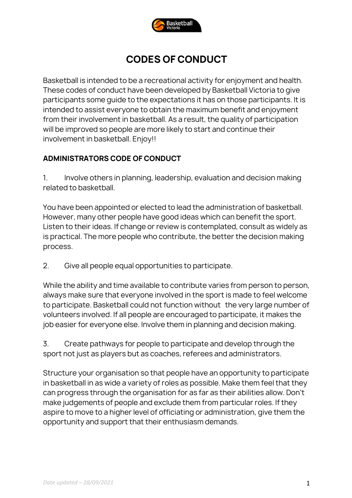

# **CODES OF CONDUCT**

Basketball is intended to be a recreational activity for enjoyment and health. These codes of conduct have been developed by Basketball Victoria to give participants some guide to the expectations it has on those participants. It is intended to assist everyone to obtain the maximum benefit and enjoyment from their involvement in basketball. As a result, the quality of participation will be improved so people are more likely to start and continue their involvement in basketball. Enjoy!!

#### **ADMINISTRATORS CODE OF CONDUCT**

1. Involve others in planning, leadership, evaluation and decision making related to basketball.

You have been appointed or elected to lead the administration of basketball. However, many other people have good ideas which can benefit the sport. Listen to their ideas. If change or review is contemplated, consult as widely as is practical. The more people who contribute, the better the decision making process.

2. Give all people equal opportunities to participate.

While the ability and time available to contribute varies from person to person, always make sure that everyone involved in the sport is made to feel welcome to participate. Basketball could not function without the very large number of volunteers involved. If all people are encouraged to participate, it makes the job easier for everyone else. Involve them in planning and decision making.

3. Create pathways for people to participate and develop through the sport not just as players but as coaches, referees and administrators.

Structure your organisation so that people have an opportunity to participate in basketball in as wide a variety of roles as possible. Make them feel that they can progress through the organisation for as far as their abilities allow. Don't make judgements of people and exclude them from particular roles. If they aspire to move to a higher level of officiating or administration, give them the opportunity and support that their enthusiasm demands.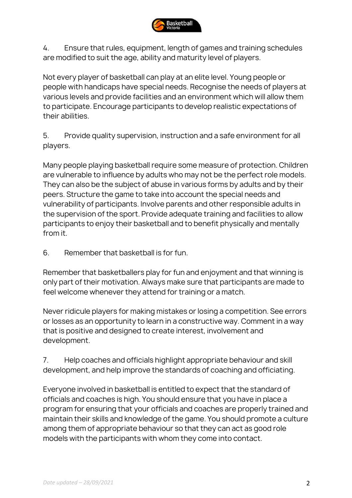

4. Ensure that rules, equipment, length of games and training schedules are modified to suit the age, ability and maturity level of players.

Not every player of basketball can play at an elite level. Young people or people with handicaps have special needs. Recognise the needs of players at various levels and provide facilities and an environment which will allow them to participate. Encourage participants to develop realistic expectations of their abilities.

5. Provide quality supervision, instruction and a safe environment for all players.

Many people playing basketball require some measure of protection. Children are vulnerable to influence by adults who may not be the perfect role models. They can also be the subject of abuse in various forms by adults and by their peers. Structure the game to take into account the special needs and vulnerability of participants. Involve parents and other responsible adults in the supervision of the sport. Provide adequate training and facilities to allow participants to enjoy their basketball and to benefit physically and mentally from it.

6. Remember that basketball is for fun.

Remember that basketballers play for fun and enjoyment and that winning is only part of their motivation. Always make sure that participants are made to feel welcome whenever they attend for training or a match.

Never ridicule players for making mistakes or losing a competition. See errors or losses as an opportunity to learn in a constructive way. Comment in a way that is positive and designed to create interest, involvement and development.

7. Help coaches and officials highlight appropriate behaviour and skill development, and help improve the standards of coaching and officiating.

Everyone involved in basketball is entitled to expect that the standard of officials and coaches is high. You should ensure that you have in place a program for ensuring that your officials and coaches are properly trained and maintain their skills and knowledge of the game. You should promote a culture among them of appropriate behaviour so that they can act as good role models with the participants with whom they come into contact.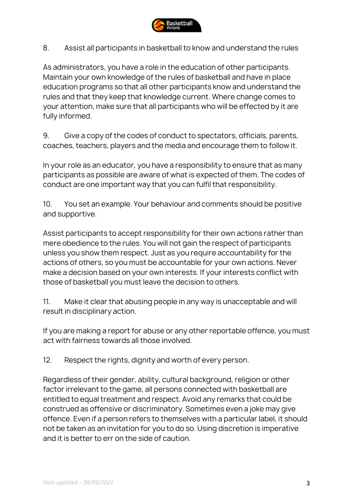

8. Assist all participants in basketball to know and understand the rules

As administrators, you have a role in the education of other participants. Maintain your own knowledge of the rules of basketball and have in place education programs so that all other participants know and understand the rules and that they keep that knowledge current. Where change comes to your attention, make sure that all participants who will be effected by it are fully informed.

9. Give a copy of the codes of conduct to spectators, officials, parents, coaches, teachers, players and the media and encourage them to follow it.

In your role as an educator, you have a responsibility to ensure that as many participants as possible are aware of what is expected of them. The codes of conduct are one important way that you can fulfil that responsibility.

10. You set an example. Your behaviour and comments should be positive and supportive.

Assist participants to accept responsibility for their own actions rather than mere obedience to the rules. You will not gain the respect of participants unless you show them respect. Just as you require accountability for the actions of others, so you must be accountable for your own actions. Never make a decision based on your own interests. If your interests conflict with those of basketball you must leave the decision to others.

11. Make it clear that abusing people in any way is unacceptable and will result in disciplinary action.

If you are making a report for abuse or any other reportable offence, you must act with fairness towards all those involved.

12. Respect the rights, dignity and worth of every person.

Regardless of their gender, ability, cultural background, religion or other factor irrelevant to the game, all persons connected with basketball are entitled to equal treatment and respect. Avoid any remarks that could be construed as offensive or discriminatory. Sometimes even a joke may give offence. Even if a person refers to themselves with a particular label, it should not be taken as an invitation for you to do so. Using discretion is imperative and it is better to err on the side of caution.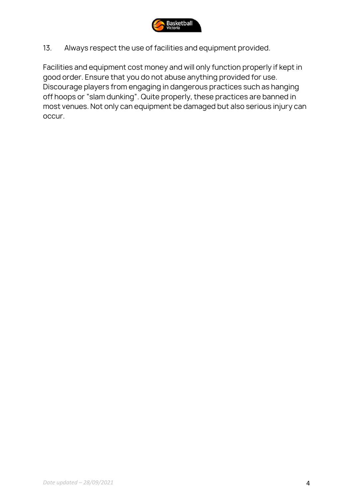

13. Always respect the use of facilities and equipment provided.

Facilities and equipment cost money and will only function properly if kept in good order. Ensure that you do not abuse anything provided for use. Discourage players from engaging in dangerous practices such as hanging off hoops or "slam dunking". Quite properly, these practices are banned in most venues. Not only can equipment be damaged but also serious injury can occur.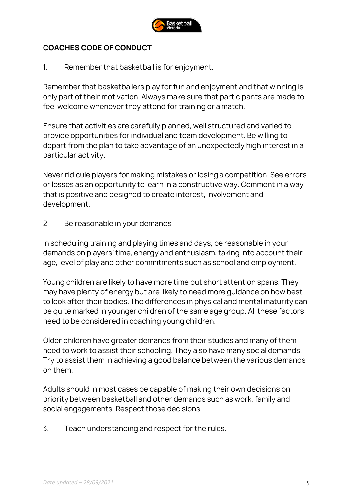

#### **COACHES CODE OF CONDUCT**

1. Remember that basketball is for enjoyment.

Remember that basketballers play for fun and enjoyment and that winning is only part of their motivation. Always make sure that participants are made to feel welcome whenever they attend for training or a match.

Ensure that activities are carefully planned, well structured and varied to provide opportunities for individual and team development. Be willing to depart from the plan to take advantage of an unexpectedly high interest in a particular activity.

Never ridicule players for making mistakes or losing a competition. See errors or losses as an opportunity to learn in a constructive way. Comment in a way that is positive and designed to create interest, involvement and development.

2. Be reasonable in your demands

In scheduling training and playing times and days, be reasonable in your demands on players' time, energy and enthusiasm, taking into account their age, level of play and other commitments such as school and employment.

Young children are likely to have more time but short attention spans. They may have plenty of energy but are likely to need more guidance on how best to look after their bodies. The differences in physical and mental maturity can be quite marked in younger children of the same age group. All these factors need to be considered in coaching young children.

Older children have greater demands from their studies and many of them need to work to assist their schooling. They also have many social demands. Try to assist them in achieving a good balance between the various demands on them.

Adults should in most cases be capable of making their own decisions on priority between basketball and other demands such as work, family and social engagements. Respect those decisions.

3. Teach understanding and respect for the rules.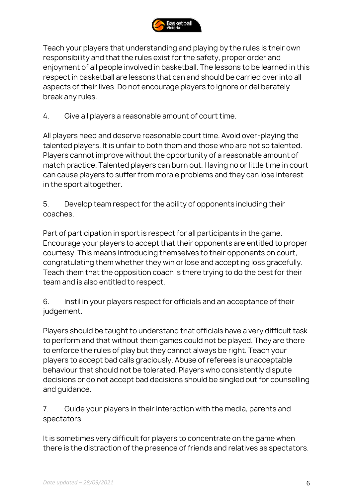

Teach your players that understanding and playing by the rules is their own responsibility and that the rules exist for the safety, proper order and enjoyment of all people involved in basketball. The lessons to be learned in this respect in basketball are lessons that can and should be carried over into all aspects of their lives. Do not encourage players to ignore or deliberately break any rules.

4. Give all players a reasonable amount of court time.

All players need and deserve reasonable court time. Avoid over-playing the talented players. It is unfair to both them and those who are not so talented. Players cannot improve without the opportunity of a reasonable amount of match practice. Talented players can burn out. Having no or little time in court can cause players to suffer from morale problems and they can lose interest in the sport altogether.

5. Develop team respect for the ability of opponents including their coaches.

Part of participation in sport is respect for all participants in the game. Encourage your players to accept that their opponents are entitled to proper courtesy. This means introducing themselves to their opponents on court, congratulating them whether they win or lose and accepting loss gracefully. Teach them that the opposition coach is there trying to do the best for their team and is also entitled to respect.

6. Instil in your players respect for officials and an acceptance of their judgement.

Players should be taught to understand that officials have a very difficult task to perform and that without them games could not be played. They are there to enforce the rules of play but they cannot always be right. Teach your players to accept bad calls graciously. Abuse of referees is unacceptable behaviour that should not be tolerated. Players who consistently dispute decisions or do not accept bad decisions should be singled out for counselling and guidance.

7. Guide your players in their interaction with the media, parents and spectators.

It is sometimes very difficult for players to concentrate on the game when there is the distraction of the presence of friends and relatives as spectators.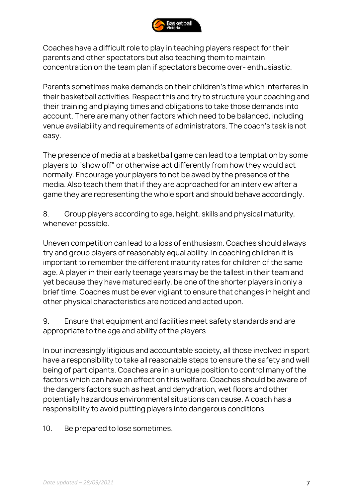

Coaches have a difficult role to play in teaching players respect for their parents and other spectators but also teaching them to maintain concentration on the team plan if spectators become over- enthusiastic.

Parents sometimes make demands on their children's time which interferes in their basketball activities. Respect this and try to structure your coaching and their training and playing times and obligations to take those demands into account. There are many other factors which need to be balanced, including venue availability and requirements of administrators. The coach's task is not easy.

The presence of media at a basketball game can lead to a temptation by some players to "show off" or otherwise act differently from how they would act normally. Encourage your players to not be awed by the presence of the media. Also teach them that if they are approached for an interview after a game they are representing the whole sport and should behave accordingly.

8. Group players according to age, height, skills and physical maturity, whenever possible.

Uneven competition can lead to a loss of enthusiasm. Coaches should always try and group players of reasonably equal ability. In coaching children it is important to remember the different maturity rates for children of the same age. A player in their early teenage years may be the tallest in their team and yet because they have matured early, be one of the shorter players in only a brief time. Coaches must be ever vigilant to ensure that changes in height and other physical characteristics are noticed and acted upon.

9. Ensure that equipment and facilities meet safety standards and are appropriate to the age and ability of the players.

In our increasingly litigious and accountable society, all those involved in sport have a responsibility to take all reasonable steps to ensure the safety and well being of participants. Coaches are in a unique position to control many of the factors which can have an effect on this welfare. Coaches should be aware of the dangers factors such as heat and dehydration, wet floors and other potentially hazardous environmental situations can cause. A coach has a responsibility to avoid putting players into dangerous conditions.

10. Be prepared to lose sometimes.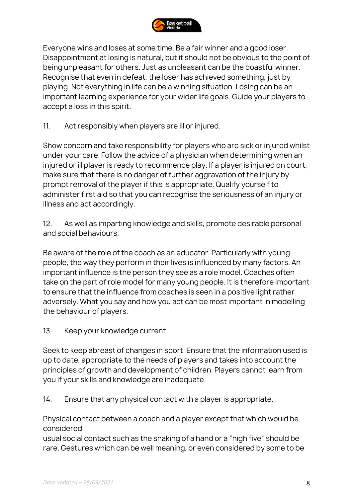

Everyone wins and loses at some time. Be a fair winner and a good loser. Disappointment at losing is natural, but it should not be obvious to the point of being unpleasant for others. Just as unpleasant can be the boastful winner. Recognise that even in defeat, the loser has achieved something, just by playing. Not everything in life can be a winning situation. Losing can be an important learning experience for your wider life goals. Guide your players to accept a loss in this spirit.

11. Act responsibly when players are ill or injured.

Show concern and take responsibility for players who are sick or injured whilst under your care. Follow the advice of a physician when determining when an injured or ill player is ready to recommence play. If a player is injured on court, make sure that there is no danger of further aggravation of the injury by prompt removal of the player if this is appropriate. Qualify yourself to administer first aid so that you can recognise the seriousness of an injury or illness and act accordingly.

12. As well as imparting knowledge and skills, promote desirable personal and social behaviours.

Be aware of the role of the coach as an educator. Particularly with young people, the way they perform in their lives is influenced by many factors. An important influence is the person they see as a role model. Coaches often take on the part of role model for many young people. It is therefore important to ensure that the influence from coaches is seen in a positive light rather adversely. What you say and how you act can be most important in modelling the behaviour of players.

13. Keep your knowledge current.

Seek to keep abreast of changes in sport. Ensure that the information used is up to date, appropriate to the needs of players and takes into account the principles of growth and development of children. Players cannot learn from you if your skills and knowledge are inadequate.

14. Ensure that any physical contact with a player is appropriate.

Physical contact between a coach and a player except that which would be considered

usual social contact such as the shaking of a hand or a "high five" should be rare. Gestures which can be well meaning, or even considered by some to be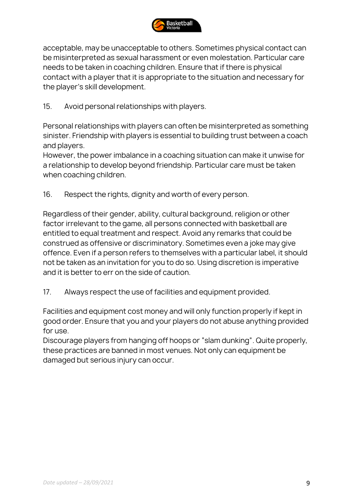

acceptable, may be unacceptable to others. Sometimes physical contact can be misinterpreted as sexual harassment or even molestation. Particular care needs to be taken in coaching children. Ensure that if there is physical contact with a player that it is appropriate to the situation and necessary for the player's skill development.

15. Avoid personal relationships with players.

Personal relationships with players can often be misinterpreted as something sinister. Friendship with players is essential to building trust between a coach and players.

However, the power imbalance in a coaching situation can make it unwise for a relationship to develop beyond friendship. Particular care must be taken when coaching children.

16. Respect the rights, dignity and worth of every person.

Regardless of their gender, ability, cultural background, religion or other factor irrelevant to the game, all persons connected with basketball are entitled to equal treatment and respect. Avoid any remarks that could be construed as offensive or discriminatory. Sometimes even a joke may give offence. Even if a person refers to themselves with a particular label, it should not be taken as an invitation for you to do so. Using discretion is imperative and it is better to err on the side of caution.

17. Always respect the use of facilities and equipment provided.

Facilities and equipment cost money and will only function properly if kept in good order. Ensure that you and your players do not abuse anything provided for use.

Discourage players from hanging off hoops or "slam dunking". Quite properly, these practices are banned in most venues. Not only can equipment be damaged but serious injury can occur.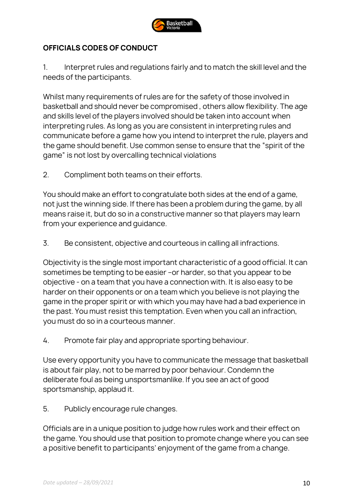

# **OFFICIALS CODES OF CONDUCT**

1. Interpret rules and regulations fairly and to match the skill level and the needs of the participants.

Whilst many requirements of rules are for the safety of those involved in basketball and should never be compromised , others allow flexibility. The age and skills level of the players involved should be taken into account when interpreting rules. As long as you are consistent in interpreting rules and communicate before a game how you intend to interpret the rule, players and the game should benefit. Use common sense to ensure that the "spirit of the game" is not lost by overcalling technical violations

2. Compliment both teams on their efforts.

You should make an effort to congratulate both sides at the end of a game, not just the winning side. If there has been a problem during the game, by all means raise it, but do so in a constructive manner so that players may learn from your experience and guidance.

3. Be consistent, objective and courteous in calling all infractions.

Objectivity is the single most important characteristic of a good official. It can sometimes be tempting to be easier –or harder, so that you appear to be objective - on a team that you have a connection with. It is also easy to be harder on their opponents or on a team which you believe is not playing the game in the proper spirit or with which you may have had a bad experience in the past. You must resist this temptation. Even when you call an infraction, you must do so in a courteous manner.

4. Promote fair play and appropriate sporting behaviour.

Use every opportunity you have to communicate the message that basketball is about fair play, not to be marred by poor behaviour. Condemn the deliberate foul as being unsportsmanlike. If you see an act of good sportsmanship, applaud it.

5. Publicly encourage rule changes.

Officials are in a unique position to judge how rules work and their effect on the game. You should use that position to promote change where you can see a positive benefit to participants' enjoyment of the game from a change.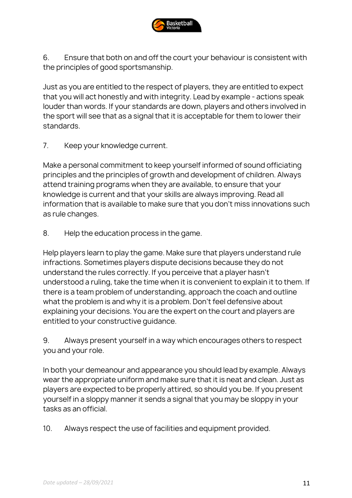

6. Ensure that both on and off the court your behaviour is consistent with the principles of good sportsmanship.

Just as you are entitled to the respect of players, they are entitled to expect that you will act honestly and with integrity. Lead by example - actions speak louder than words. If your standards are down, players and others involved in the sport will see that as a signal that it is acceptable for them to lower their standards.

7. Keep your knowledge current.

Make a personal commitment to keep yourself informed of sound officiating principles and the principles of growth and development of children. Always attend training programs when they are available, to ensure that your knowledge is current and that your skills are always improving. Read all information that is available to make sure that you don't miss innovations such as rule changes.

8. Help the education process in the game.

Help players learn to play the game. Make sure that players understand rule infractions. Sometimes players dispute decisions because they do not understand the rules correctly. If you perceive that a player hasn't understood a ruling, take the time when it is convenient to explain it to them. If there is a team problem of understanding, approach the coach and outline what the problem is and why it is a problem. Don't feel defensive about explaining your decisions. You are the expert on the court and players are entitled to your constructive guidance.

9. Always present yourself in a way which encourages others to respect you and your role.

In both your demeanour and appearance you should lead by example. Always wear the appropriate uniform and make sure that it is neat and clean. Just as players are expected to be properly attired, so should you be. If you present yourself in a sloppy manner it sends a signal that you may be sloppy in your tasks as an official.

10. Always respect the use of facilities and equipment provided.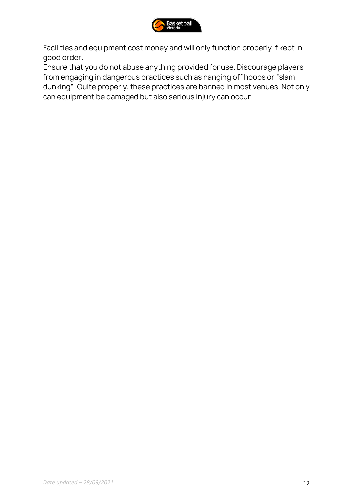

Facilities and equipment cost money and will only function properly if kept in good order.

Ensure that you do not abuse anything provided for use. Discourage players from engaging in dangerous practices such as hanging off hoops or "slam dunking". Quite properly, these practices are banned in most venues. Not only can equipment be damaged but also serious injury can occur.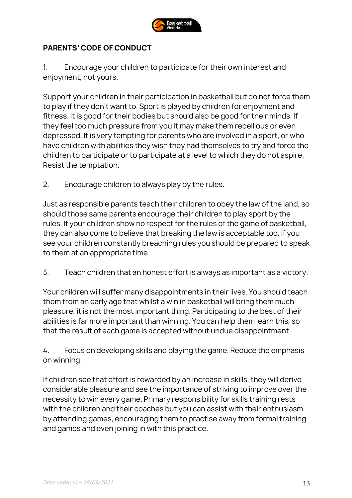

# **PARENTS' CODE OF CONDUCT**

1. Encourage your children to participate for their own interest and enjoyment, not yours.

Support your children in their participation in basketball but do not force them to play if they don't want to. Sport is played by children for enjoyment and fitness. It is good for their bodies but should also be good for their minds. If they feel too much pressure from you it may make them rebellious or even depressed. It is very tempting for parents who are involved in a sport, or who have children with abilities they wish they had themselves to try and force the children to participate or to participate at a level to which they do not aspire. Resist the temptation.

2. Encourage children to always play by the rules.

Just as responsible parents teach their children to obey the law of the land, so should those same parents encourage their children to play sport by the rules. If your children show no respect for the rules of the game of basketball, they can also come to believe that breaking the law is acceptable too. If you see your children constantly breaching rules you should be prepared to speak to them at an appropriate time.

3. Teach children that an honest effort is always as important as a victory.

Your children will suffer many disappointments in their lives. You should teach them from an early age that whilst a win in basketball will bring them much pleasure, it is not the most important thing. Participating to the best of their abilities is far more important than winning. You can help them learn this, so that the result of each game is accepted without undue disappointment.

4. Focus on developing skills and playing the game. Reduce the emphasis on winning.

If children see that effort is rewarded by an increase in skills, they will derive considerable pleasure and see the importance of striving to improve over the necessity to win every game. Primary responsibility for skills training rests with the children and their coaches but you can assist with their enthusiasm by attending games, encouraging them to practise away from formal training and games and even joining in with this practice.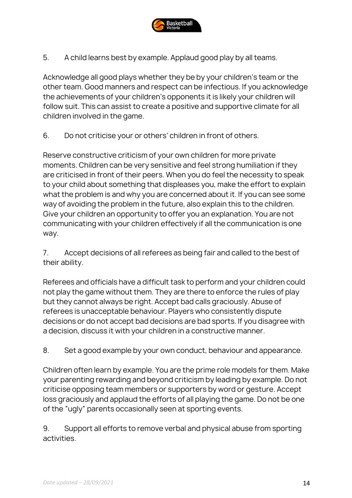

5. A child learns best by example. Applaud good play by all teams.

Acknowledge all good plays whether they be by your children's team or the other team. Good manners and respect can be infectious. If you acknowledge the achievements of your children's opponents it is likely your children will follow suit. This can assist to create a positive and supportive climate for all children involved in the game.

6. Do not criticise your or others' children in front of others.

Reserve constructive criticism of your own children for more private moments. Children can be very sensitive and feel strong humiliation if they are criticised in front of their peers. When you do feel the necessity to speak to your child about something that displeases you, make the effort to explain what the problem is and why you are concerned about it. If you can see some way of avoiding the problem in the future, also explain this to the children. Give your children an opportunity to offer you an explanation. You are not communicating with your children effectively if all the communication is one way.

7. Accept decisions of all referees as being fair and called to the best of their ability.

Referees and officials have a difficult task to perform and your children could not play the game without them. They are there to enforce the rules of play but they cannot always be right. Accept bad calls graciously. Abuse of referees is unacceptable behaviour. Players who consistently dispute decisions or do not accept bad decisions are bad sports. If you disagree with a decision, discuss it with your children in a constructive manner.

8. Set a good example by your own conduct, behaviour and appearance.

Children often learn by example. You are the prime role models for them. Make your parenting rewarding and beyond criticism by leading by example. Do not criticise opposing team members or supporters by word or gesture. Accept loss graciously and applaud the efforts of all playing the game. Do not be one of the "ugly" parents occasionally seen at sporting events.

9. Support all efforts to remove verbal and physical abuse from sporting activities.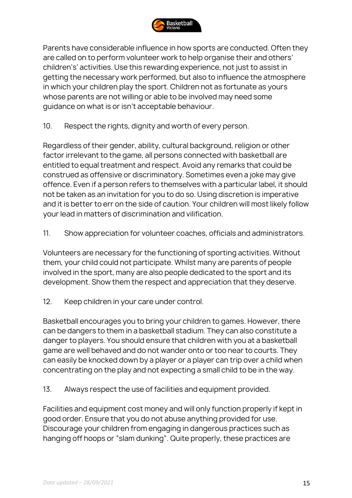

Parents have considerable influence in how sports are conducted. Often they are called on to perform volunteer work to help organise their and others' children's' activities. Use this rewarding experience, not just to assist in getting the necessary work performed, but also to influence the atmosphere in which your children play the sport. Children not as fortunate as yours whose parents are not willing or able to be involved may need some guidance on what is or isn't acceptable behaviour.

10. Respect the rights, dignity and worth of every person.

Regardless of their gender, ability, cultural background, religion or other factor irrelevant to the game, all persons connected with basketball are entitled to equal treatment and respect. Avoid any remarks that could be construed as offensive or discriminatory. Sometimes even a joke may give offence. Even if a person refers to themselves with a particular label, it should not be taken as an invitation for you to do so. Using discretion is imperative and it is better to err on the side of caution. Your children will most likely follow your lead in matters of discrimination and vilification.

11. Show appreciation for volunteer coaches, officials and administrators.

Volunteers are necessary for the functioning of sporting activities. Without them, your child could not participate. Whilst many are parents of people involved in the sport, many are also people dedicated to the sport and its development. Show them the respect and appreciation that they deserve.

12. Keep children in your care under control.

Basketball encourages you to bring your children to games. However, there can be dangers to them in a basketball stadium. They can also constitute a danger to players. You should ensure that children with you at a basketball game are well behaved and do not wander onto or too near to courts. They can easily be knocked down by a player or a player can trip over a child when concentrating on the play and not expecting a small child to be in the way.

13. Always respect the use of facilities and equipment provided.

Facilities and equipment cost money and will only function properly if kept in good order. Ensure that you do not abuse anything provided for use. Discourage your children from engaging in dangerous practices such as hanging off hoops or "slam dunking". Quite properly, these practices are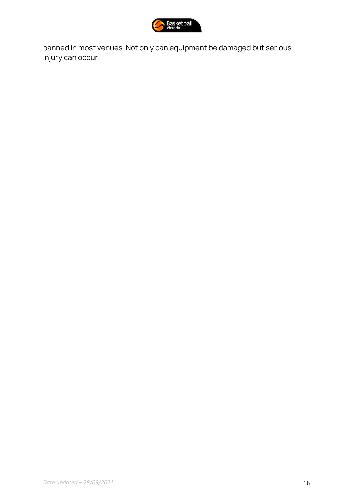

banned in most venues. Not only can equipment be damaged but serious injury can occur.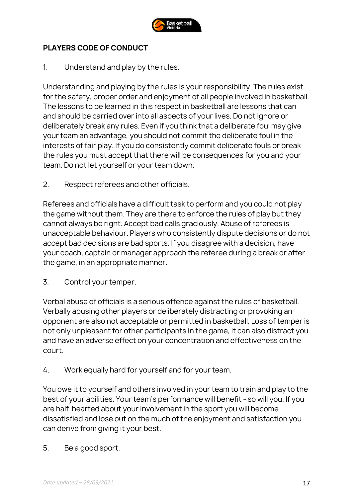

# **PLAYERS CODE OF CONDUCT**

1. Understand and play by the rules.

Understanding and playing by the rules is your responsibility. The rules exist for the safety, proper order and enjoyment of all people involved in basketball. The lessons to be learned in this respect in basketball are lessons that can and should be carried over into all aspects of your lives. Do not ignore or deliberately break any rules. Even if you think that a deliberate foul may give your team an advantage, you should not commit the deliberate foul in the interests of fair play. If you do consistently commit deliberate fouls or break the rules you must accept that there will be consequences for you and your team. Do not let yourself or your team down.

2. Respect referees and other officials.

Referees and officials have a difficult task to perform and you could not play the game without them. They are there to enforce the rules of play but they cannot always be right. Accept bad calls graciously. Abuse of referees is unacceptable behaviour. Players who consistently dispute decisions or do not accept bad decisions are bad sports. If you disagree with a decision, have your coach, captain or manager approach the referee during a break or after the game, in an appropriate manner.

3. Control your temper.

Verbal abuse of officials is a serious offence against the rules of basketball. Verbally abusing other players or deliberately distracting or provoking an opponent are also not acceptable or permitted in basketball. Loss of temper is not only unpleasant for other participants in the game, it can also distract you and have an adverse effect on your concentration and effectiveness on the court.

4. Work equally hard for yourself and for your team.

You owe it to yourself and others involved in your team to train and play to the best of your abilities. Your team's performance will benefit - so will you. If you are half-hearted about your involvement in the sport you will become dissatisfied and lose out on the much of the enjoyment and satisfaction you can derive from giving it your best.

5. Be a good sport.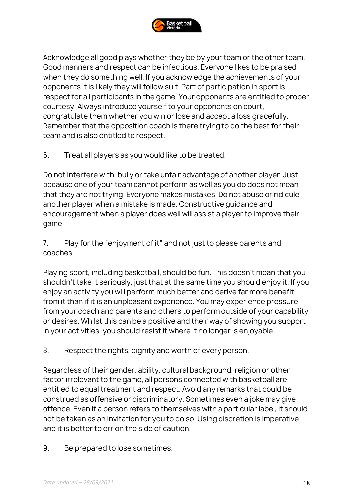

Acknowledge all good plays whether they be by your team or the other team. Good manners and respect can be infectious. Everyone likes to be praised when they do something well. If you acknowledge the achievements of your opponents it is likely they will follow suit. Part of participation in sport is respect for all participants in the game. Your opponents are entitled to proper courtesy. Always introduce yourself to your opponents on court, congratulate them whether you win or lose and accept a loss gracefully. Remember that the opposition coach is there trying to do the best for their team and is also entitled to respect.

6. Treat all players as you would like to be treated.

Do not interfere with, bully or take unfair advantage of another player. Just because one of your team cannot perform as well as you do does not mean that they are not trying. Everyone makes mistakes. Do not abuse or ridicule another player when a mistake is made. Constructive guidance and encouragement when a player does well will assist a player to improve their game.

7. Play for the "enjoyment of it" and not just to please parents and coaches.

Playing sport, including basketball, should be fun. This doesn't mean that you shouldn't take it seriously, just that at the same time you should enjoy it. If you enjoy an activity you will perform much better and derive far more benefit from it than if it is an unpleasant experience. You may experience pressure from your coach and parents and others to perform outside of your capability or desires. Whilst this can be a positive and their way of showing you support in your activities, you should resist it where it no longer is enjoyable.

8. Respect the rights, dignity and worth of every person.

Regardless of their gender, ability, cultural background, religion or other factor irrelevant to the game, all persons connected with basketball are entitled to equal treatment and respect. Avoid any remarks that could be construed as offensive or discriminatory. Sometimes even a joke may give offence. Even if a person refers to themselves with a particular label, it should not be taken as an invitation for you to do so. Using discretion is imperative and it is better to err on the side of caution.

9. Be prepared to lose sometimes.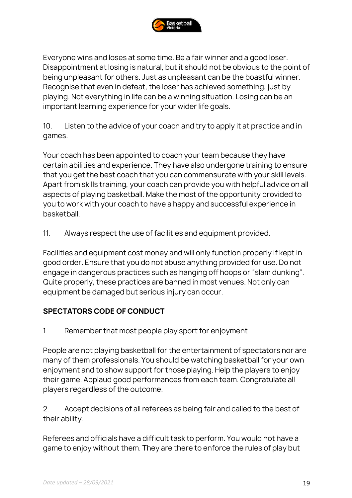

Everyone wins and loses at some time. Be a fair winner and a good loser. Disappointment at losing is natural, but it should not be obvious to the point of being unpleasant for others. Just as unpleasant can be the boastful winner. Recognise that even in defeat, the loser has achieved something, just by playing. Not everything in life can be a winning situation. Losing can be an important learning experience for your wider life goals.

10. Listen to the advice of your coach and try to apply it at practice and in games.

Your coach has been appointed to coach your team because they have certain abilities and experience. They have also undergone training to ensure that you get the best coach that you can commensurate with your skill levels. Apart from skills training, your coach can provide you with helpful advice on all aspects of playing basketball. Make the most of the opportunity provided to you to work with your coach to have a happy and successful experience in basketball.

11. Always respect the use of facilities and equipment provided.

Facilities and equipment cost money and will only function properly if kept in good order. Ensure that you do not abuse anything provided for use. Do not engage in dangerous practices such as hanging off hoops or "slam dunking". Quite properly, these practices are banned in most venues. Not only can equipment be damaged but serious injury can occur.

#### **SPECTATORS CODE OF CONDUCT**

1. Remember that most people play sport for enjoyment.

People are not playing basketball for the entertainment of spectators nor are many of them professionals. You should be watching basketball for your own enjoyment and to show support for those playing. Help the players to enjoy their game. Applaud good performances from each team. Congratulate all players regardless of the outcome.

2. Accept decisions of all referees as being fair and called to the best of their ability.

Referees and officials have a difficult task to perform. You would not have a game to enjoy without them. They are there to enforce the rules of play but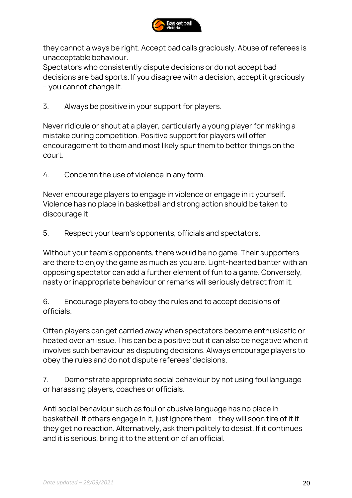

they cannot always be right. Accept bad calls graciously. Abuse of referees is unacceptable behaviour.

Spectators who consistently dispute decisions or do not accept bad decisions are bad sports. If you disagree with a decision, accept it graciously – you cannot change it.

3. Always be positive in your support for players.

Never ridicule or shout at a player, particularly a young player for making a mistake during competition. Positive support for players will offer encouragement to them and most likely spur them to better things on the court.

4. Condemn the use of violence in any form.

Never encourage players to engage in violence or engage in it yourself. Violence has no place in basketball and strong action should be taken to discourage it.

5. Respect your team's opponents, officials and spectators.

Without your team's opponents, there would be no game. Their supporters are there to enjoy the game as much as you are. Light-hearted banter with an opposing spectator can add a further element of fun to a game. Conversely, nasty or inappropriate behaviour or remarks will seriously detract from it.

6. Encourage players to obey the rules and to accept decisions of officials.

Often players can get carried away when spectators become enthusiastic or heated over an issue. This can be a positive but it can also be negative when it involves such behaviour as disputing decisions. Always encourage players to obey the rules and do not dispute referees' decisions.

7. Demonstrate appropriate social behaviour by not using foul language or harassing players, coaches or officials.

Anti social behaviour such as foul or abusive language has no place in basketball. If others engage in it, just ignore them – they will soon tire of it if they get no reaction. Alternatively, ask them politely to desist. If it continues and it is serious, bring it to the attention of an official.